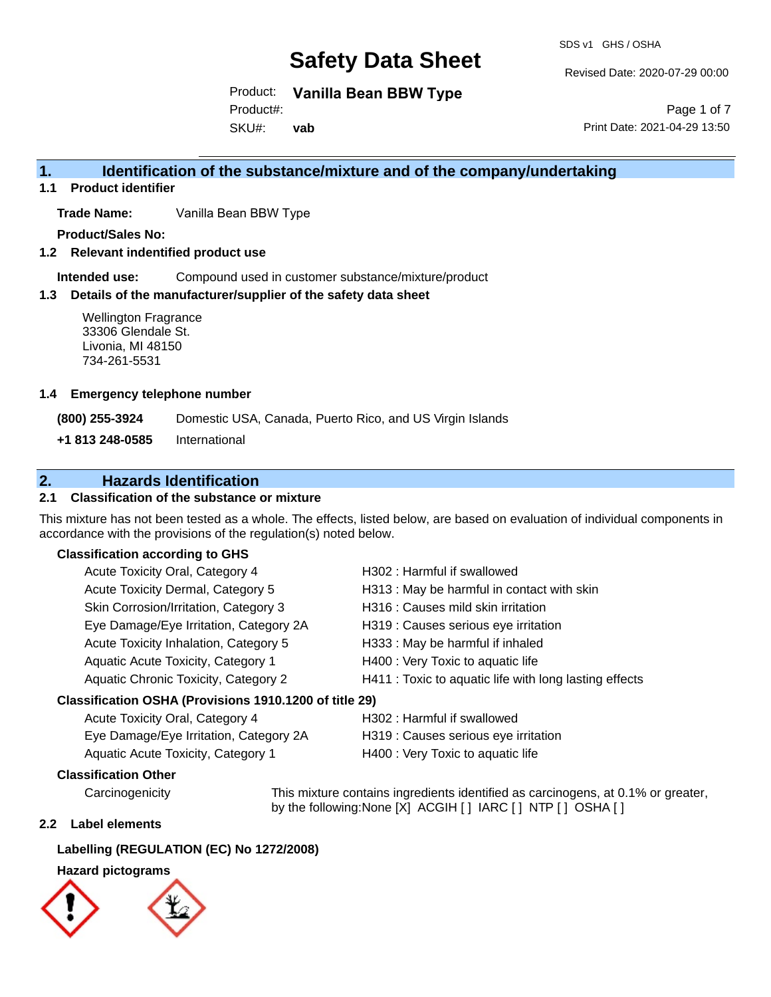SDS v1 GHS / OSHA

Revised Date: 2020-07-29 00:00

Product: **Vanilla Bean BBW Type**

Product#:

SKU#: **vab**

Page 1 of 7 Print Date: 2021-04-29 13:50

## **1. Identification of the substance/mixture and of the company/undertaking**

**1.1 Product identifier**

**Trade Name:** Vanilla Bean BBW Type

**Product/Sales No:**

**1.2 Relevant indentified product use**

**Intended use:** Compound used in customer substance/mixture/product

### **1.3 Details of the manufacturer/supplier of the safety data sheet**

Wellington Fragrance 33306 Glendale St. Livonia, MI 48150 734-261-5531

### **1.4 Emergency telephone number**

**(800) 255-3924** Domestic USA, Canada, Puerto Rico, and US Virgin Islands

**+1 813 248-0585** International

## **2. Hazards Identification**

## **2.1 Classification of the substance or mixture**

This mixture has not been tested as a whole. The effects, listed below, are based on evaluation of individual components in accordance with the provisions of the regulation(s) noted below.

## **Classification according to GHS**

| Acute Toxicity Oral, Category 4                     | H302: Harmful if swallowed                             |
|-----------------------------------------------------|--------------------------------------------------------|
| Acute Toxicity Dermal, Category 5                   | H313 : May be harmful in contact with skin             |
| Skin Corrosion/Irritation, Category 3               | H316 : Causes mild skin irritation                     |
| Eye Damage/Eye Irritation, Category 2A              | H319 : Causes serious eye irritation                   |
| Acute Toxicity Inhalation, Category 5               | H333: May be harmful if inhaled                        |
| Aquatic Acute Toxicity, Category 1                  | H400 : Very Toxic to aquatic life                      |
| Aquatic Chronic Toxicity, Category 2                | H411 : Toxic to aquatic life with long lasting effects |
| esification OSHA (Provisions 1910 1200 of title 29) |                                                        |

## **Classification OSHA (Provisions 1910.1200 of title 29)**

| Acute Toxicity Oral, Category 4        | H302 : Harmful if swallowed          |
|----------------------------------------|--------------------------------------|
| Eye Damage/Eye Irritation, Category 2A | H319 : Causes serious eye irritation |
| Aquatic Acute Toxicity, Category 1     | H400 : Very Toxic to aquatic life    |

## **Classification Other**

Carcinogenicity This mixture contains ingredients identified as carcinogens, at 0.1% or greater, by the following:None [X] ACGIH [ ] IARC [ ] NTP [ ] OSHA [ ]

#### **2.2 Label elements**

## **Labelling (REGULATION (EC) No 1272/2008)**

## **Hazard pictograms**

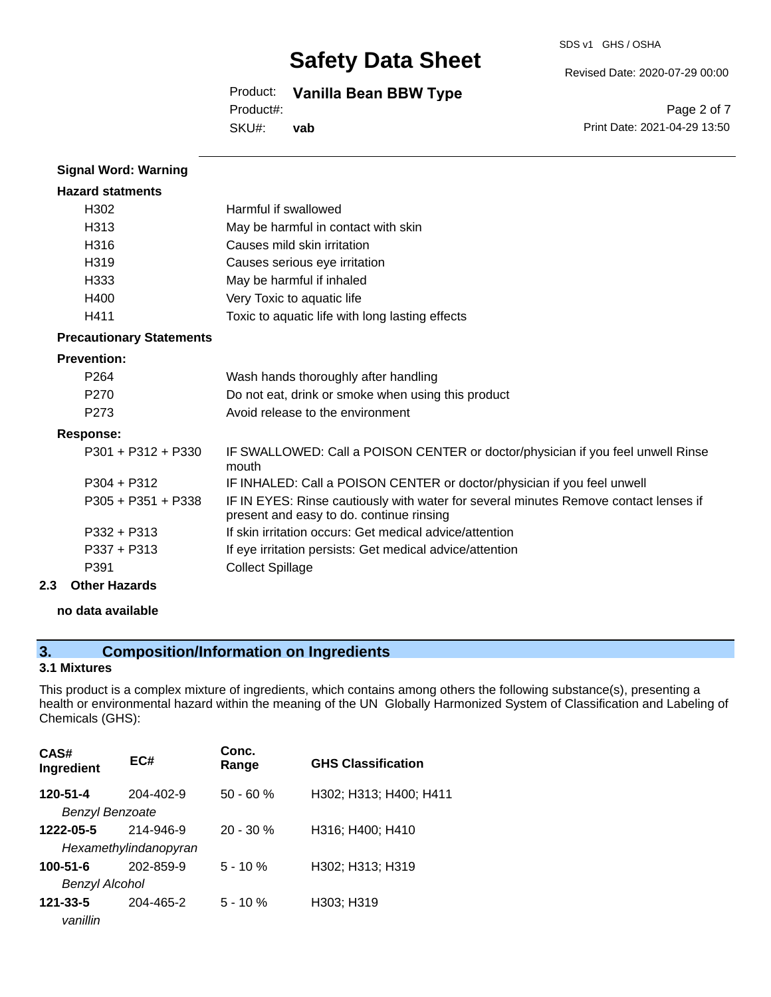SDS v1 GHS / OSHA

Revised Date: 2020-07-29 00:00

## Product: **Vanilla Bean BBW Type**

Product#:

SKU#: **vab**

Page 2 of 7 Print Date: 2021-04-29 13:50

| <b>Signal Word: Warning</b>     |                                                                                                                                  |
|---------------------------------|----------------------------------------------------------------------------------------------------------------------------------|
| <b>Hazard statments</b>         |                                                                                                                                  |
| H302                            | Harmful if swallowed                                                                                                             |
| H313                            | May be harmful in contact with skin                                                                                              |
| H316                            | Causes mild skin irritation                                                                                                      |
| H <sub>319</sub>                | Causes serious eye irritation                                                                                                    |
| H333                            | May be harmful if inhaled                                                                                                        |
| H400                            | Very Toxic to aquatic life                                                                                                       |
| H411                            | Toxic to aquatic life with long lasting effects                                                                                  |
| <b>Precautionary Statements</b> |                                                                                                                                  |
| <b>Prevention:</b>              |                                                                                                                                  |
| P <sub>264</sub>                | Wash hands thoroughly after handling                                                                                             |
| P <sub>270</sub>                | Do not eat, drink or smoke when using this product                                                                               |
| P <sub>273</sub>                | Avoid release to the environment                                                                                                 |
| <b>Response:</b>                |                                                                                                                                  |
| $P301 + P312 + P330$            | IF SWALLOWED: Call a POISON CENTER or doctor/physician if you feel unwell Rinse<br>mouth                                         |
| $P304 + P312$                   | IF INHALED: Call a POISON CENTER or doctor/physician if you feel unwell                                                          |
| $P305 + P351 + P338$            | IF IN EYES: Rinse cautiously with water for several minutes Remove contact lenses if<br>present and easy to do. continue rinsing |
| $P332 + P313$                   | If skin irritation occurs: Get medical advice/attention                                                                          |
| $P337 + P313$                   | If eye irritation persists: Get medical advice/attention                                                                         |
| P391                            | <b>Collect Spillage</b>                                                                                                          |
|                                 |                                                                                                                                  |

## **2.3 Other Hazards**

**no data available**

## **3. Composition/Information on Ingredients**

## **3.1 Mixtures**

This product is a complex mixture of ingredients, which contains among others the following substance(s), presenting a health or environmental hazard within the meaning of the UN Globally Harmonized System of Classification and Labeling of Chemicals (GHS):

| CAS#<br>Ingredient     | EC#                   | Conc.<br>Range | <b>GHS Classification</b> |
|------------------------|-----------------------|----------------|---------------------------|
| 120-51-4               | 204-402-9             | $50 - 60 %$    | H302; H313; H400; H411    |
| <b>Benzyl Benzoate</b> |                       |                |                           |
| 1222-05-5              | 214-946-9             | $20 - 30 \%$   | H316; H400; H410          |
|                        | Hexamethylindanopyran |                |                           |
| $100 - 51 - 6$         | 202-859-9             | $5 - 10%$      | H302; H313; H319          |
| Benzyl Alcohol         |                       |                |                           |
| $121 - 33 - 5$         | 204-465-2             | $5 - 10 \%$    | H303; H319                |
| vanillin               |                       |                |                           |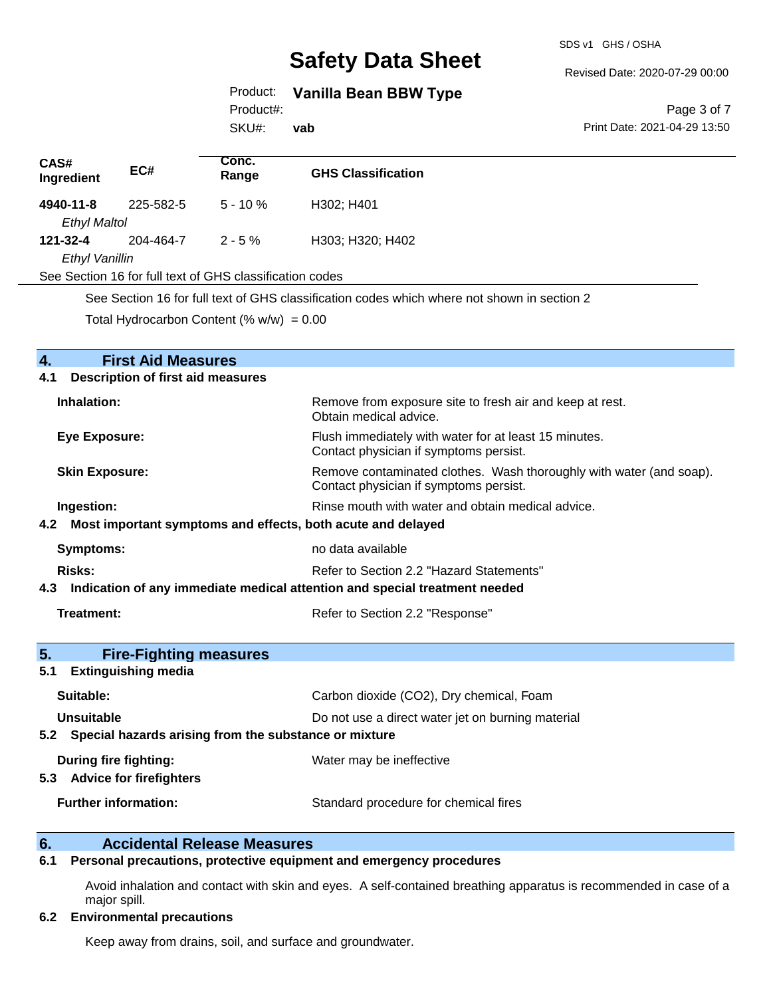SDS v1 GHS / OSHA

#### Revised Date: 2020-07-29 00:00

## Product: **Vanilla Bean BBW Type**

Product#:

SKU#: **vab**

#### Page 3 of 7 Print Date: 2021-04-29 13:50

| CAS#<br>Ingredient  | EC#       | Conc.<br>Range                                           | <b>GHS Classification</b>                                                                      |
|---------------------|-----------|----------------------------------------------------------|------------------------------------------------------------------------------------------------|
| 4940-11-8           | 225-582-5 | $5 - 10 \%$                                              | H302; H401                                                                                     |
| <b>Ethyl Maltol</b> |           |                                                          |                                                                                                |
| 121-32-4            | 204-464-7 | $2 - 5 \%$                                               | H303; H320; H402                                                                               |
| Ethyl Vanillin      |           |                                                          |                                                                                                |
|                     |           | See Section 16 for full text of GHS classification codes |                                                                                                |
|                     |           |                                                          | Can Caption 4C far full tant of CHC plane tigation and an upink whome not abound in appliers O |

See Section 16 for full text of GHS classification codes which where not shown in section 2

Total Hydrocarbon Content  $(\% w/w) = 0.00$ 

| <b>First Aid Measures</b><br>4.                                                   |                                                                                                               |
|-----------------------------------------------------------------------------------|---------------------------------------------------------------------------------------------------------------|
| <b>Description of first aid measures</b><br>4.1                                   |                                                                                                               |
| Inhalation:                                                                       | Remove from exposure site to fresh air and keep at rest.<br>Obtain medical advice.                            |
| <b>Eye Exposure:</b>                                                              | Flush immediately with water for at least 15 minutes.<br>Contact physician if symptoms persist.               |
| <b>Skin Exposure:</b>                                                             | Remove contaminated clothes. Wash thoroughly with water (and soap).<br>Contact physician if symptoms persist. |
| Ingestion:                                                                        | Rinse mouth with water and obtain medical advice.                                                             |
| Most important symptoms and effects, both acute and delayed<br>4.2                |                                                                                                               |
| <b>Symptoms:</b>                                                                  | no data available                                                                                             |
| <b>Risks:</b>                                                                     | Refer to Section 2.2 "Hazard Statements"                                                                      |
| Indication of any immediate medical attention and special treatment needed<br>4.3 |                                                                                                               |
| <b>Treatment:</b>                                                                 | Refer to Section 2.2 "Response"                                                                               |
| 5.<br><b>Fire-Fighting measures</b>                                               |                                                                                                               |
| <b>Extinguishing media</b><br>5.1                                                 |                                                                                                               |
| Suitable:                                                                         | Carbon dioxide (CO2), Dry chemical, Foam                                                                      |
| <b>Unsuitable</b><br>Do not use a direct water jet on burning material            |                                                                                                               |
| Special hazards arising from the substance or mixture<br>5.2                      |                                                                                                               |
| During fire fighting:                                                             | Water may be ineffective                                                                                      |
| <b>Advice for firefighters</b><br>5.3                                             |                                                                                                               |
| <b>Further information:</b>                                                       | Standard procedure for chemical fires                                                                         |

# **6. Accidental Release Measures**<br>**6.1** Personal precautions, protective equipm

## **6.1 Personal precautions, protective equipment and emergency procedures**

Avoid inhalation and contact with skin and eyes. A self-contained breathing apparatus is recommended in case of a major spill.

### **6.2 Environmental precautions**

Keep away from drains, soil, and surface and groundwater.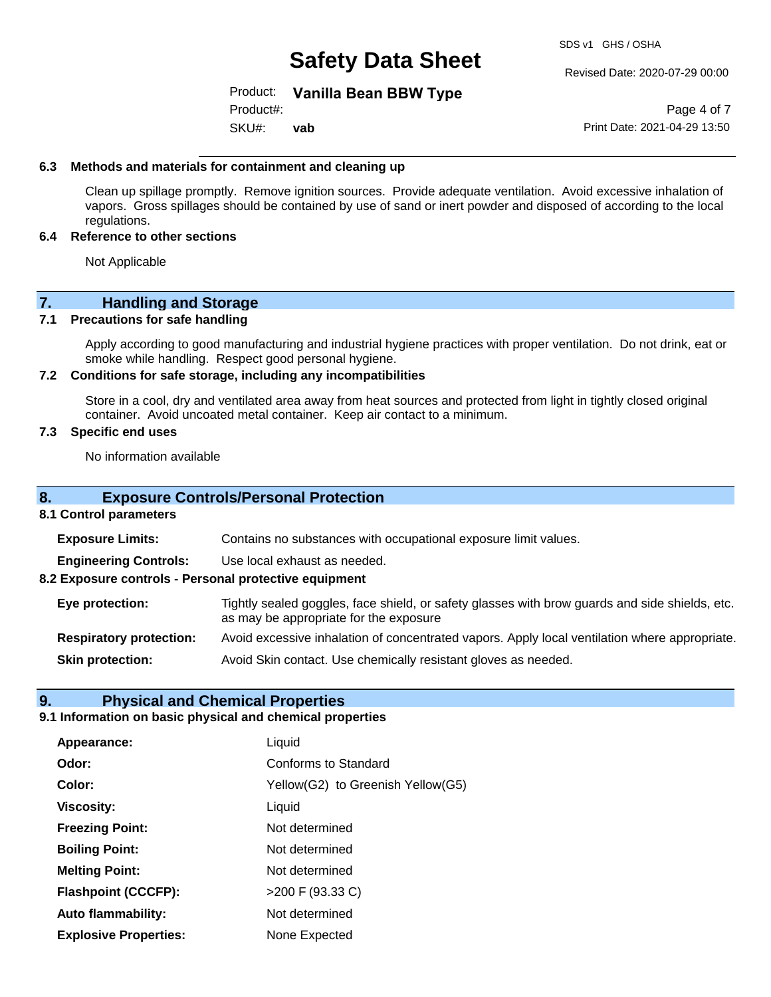SDS v1 GHS / OSHA

Revised Date: 2020-07-29 00:00

## Product: **Vanilla Bean BBW Type**

SKU#: Product#: **vab**

Page 4 of 7 Print Date: 2021-04-29 13:50

### **6.3 Methods and materials for containment and cleaning up**

Clean up spillage promptly. Remove ignition sources. Provide adequate ventilation. Avoid excessive inhalation of vapors. Gross spillages should be contained by use of sand or inert powder and disposed of according to the local regulations.

#### **6.4 Reference to other sections**

Not Applicable

## **7. Handling and Storage**

### **7.1 Precautions for safe handling**

Apply according to good manufacturing and industrial hygiene practices with proper ventilation. Do not drink, eat or smoke while handling. Respect good personal hygiene.

### **7.2 Conditions for safe storage, including any incompatibilities**

Store in a cool, dry and ventilated area away from heat sources and protected from light in tightly closed original container. Avoid uncoated metal container. Keep air contact to a minimum.

### **7.3 Specific end uses**

No information available

## **8. Exposure Controls/Personal Protection**

#### **8.1 Control parameters**

**Exposure Limits:** Contains no substances with occupational exposure limit values.

**Engineering Controls:** Use local exhaust as needed.

**8.2 Exposure controls - Personal protective equipment**

**Eye protection:** Tightly sealed goggles, face shield, or safety glasses with brow guards and side shields, etc. as may be appropriate for the exposure

**Respiratory protection:** Avoid excessive inhalation of concentrated vapors. Apply local ventilation where appropriate.

**Skin protection:** Avoid Skin contact. Use chemically resistant gloves as needed.

## **9. Physical and Chemical Properties**

#### **9.1 Information on basic physical and chemical properties**

| Appearance:                  | Liquid                            |
|------------------------------|-----------------------------------|
| Odor:                        | <b>Conforms to Standard</b>       |
| Color:                       | Yellow(G2) to Greenish Yellow(G5) |
| <b>Viscosity:</b>            | Liquid                            |
| <b>Freezing Point:</b>       | Not determined                    |
| <b>Boiling Point:</b>        | Not determined                    |
| <b>Melting Point:</b>        | Not determined                    |
| <b>Flashpoint (CCCFP):</b>   | >200 F (93.33 C)                  |
| <b>Auto flammability:</b>    | Not determined                    |
| <b>Explosive Properties:</b> | None Expected                     |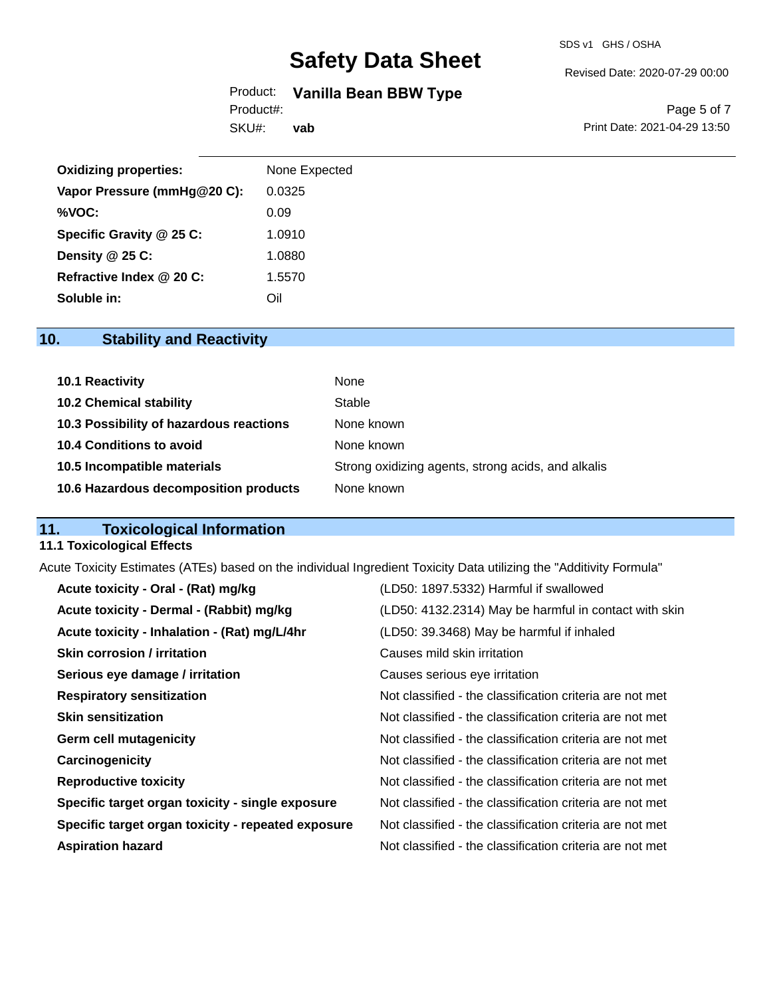#### Revised Date: 2020-07-29 00:00

## Product: **Vanilla Bean BBW Type**

SKU#: Product#:

**vab**

Page 5 of 7 Print Date: 2021-04-29 13:50

| <b>Oxidizing properties:</b> | None Expected |
|------------------------------|---------------|
| Vapor Pressure (mmHg@20 C):  | 0.0325        |
| %VOC:                        | 0.09          |
| Specific Gravity @ 25 C:     | 1.0910        |
| Density $@25C$ :             | 1.0880        |
| Refractive Index @ 20 C:     | 1.5570        |
| Soluble in:                  | Oil           |

## **10. Stability and Reactivity**

| 10.1 Reactivity                         | None                                               |
|-----------------------------------------|----------------------------------------------------|
| <b>10.2 Chemical stability</b>          | Stable                                             |
| 10.3 Possibility of hazardous reactions | None known                                         |
| <b>10.4 Conditions to avoid</b>         | None known                                         |
| 10.5 Incompatible materials             | Strong oxidizing agents, strong acids, and alkalis |
| 10.6 Hazardous decomposition products   | None known                                         |

## **11. Toxicological Information**

## **11.1 Toxicological Effects**

Acute Toxicity Estimates (ATEs) based on the individual Ingredient Toxicity Data utilizing the "Additivity Formula"

| Acute toxicity - Oral - (Rat) mg/kg                | (LD50: 1897.5332) Harmful if swallowed                   |
|----------------------------------------------------|----------------------------------------------------------|
| Acute toxicity - Dermal - (Rabbit) mg/kg           | (LD50: 4132.2314) May be harmful in contact with skin    |
| Acute toxicity - Inhalation - (Rat) mg/L/4hr       | (LD50: 39.3468) May be harmful if inhaled                |
| <b>Skin corrosion / irritation</b>                 | Causes mild skin irritation                              |
| Serious eye damage / irritation                    | Causes serious eve irritation                            |
| <b>Respiratory sensitization</b>                   | Not classified - the classification criteria are not met |
| <b>Skin sensitization</b>                          | Not classified - the classification criteria are not met |
| <b>Germ cell mutagenicity</b>                      | Not classified - the classification criteria are not met |
| Carcinogenicity                                    | Not classified - the classification criteria are not met |
| <b>Reproductive toxicity</b>                       | Not classified - the classification criteria are not met |
| Specific target organ toxicity - single exposure   | Not classified - the classification criteria are not met |
| Specific target organ toxicity - repeated exposure | Not classified - the classification criteria are not met |
| <b>Aspiration hazard</b>                           | Not classified - the classification criteria are not met |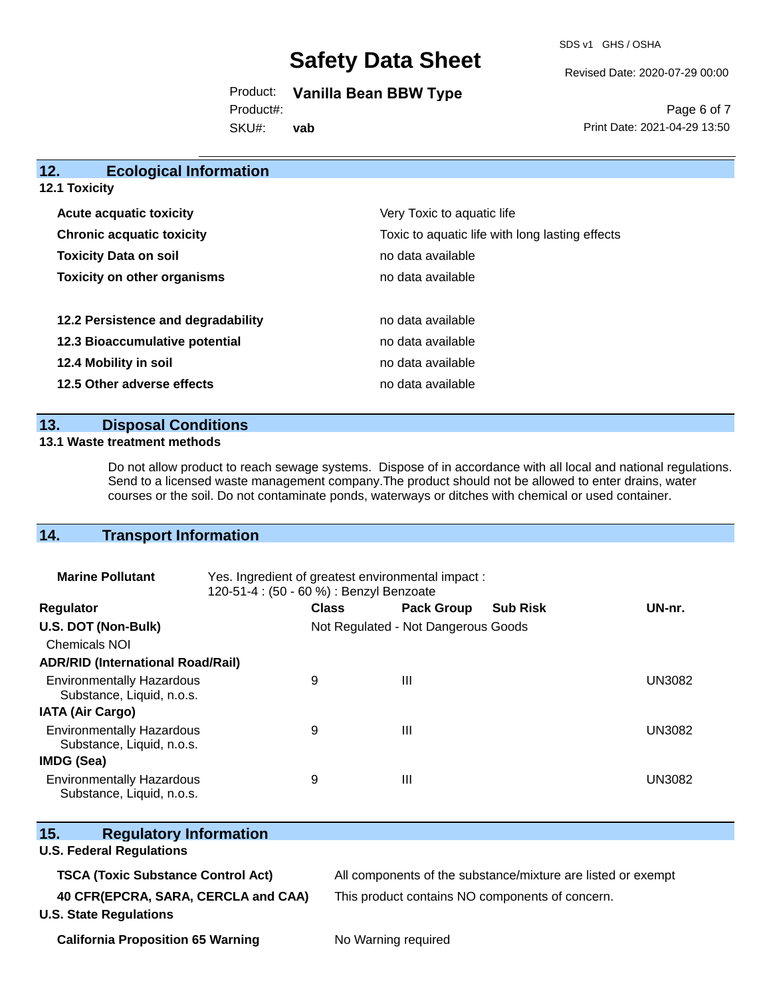SDS v1 GHS / OSHA

Revised Date: 2020-07-29 00:00

Product: **Vanilla Bean BBW Type**

Product#:

SKU#: **vab**

Page 6 of 7 Print Date: 2021-04-29 13:50

| 12.<br><b>Ecological Information</b> |                                                 |
|--------------------------------------|-------------------------------------------------|
| 12.1 Toxicity                        |                                                 |
| <b>Acute acquatic toxicity</b>       | Very Toxic to aquatic life                      |
| <b>Chronic acquatic toxicity</b>     | Toxic to aquatic life with long lasting effects |
| <b>Toxicity Data on soil</b>         | no data available                               |
| <b>Toxicity on other organisms</b>   | no data available                               |
| 12.2 Persistence and degradability   | no data available                               |
| 12.3 Bioaccumulative potential       | no data available                               |
| 12.4 Mobility in soil                | no data available                               |
| 12.5 Other adverse effects           | no data available                               |

## **13. Disposal Conditions**

#### **13.1 Waste treatment methods**

Do not allow product to reach sewage systems. Dispose of in accordance with all local and national regulations. Send to a licensed waste management company.The product should not be allowed to enter drains, water courses or the soil. Do not contaminate ponds, waterways or ditches with chemical or used container.

## **14. Transport Information**

| <b>Marine Pollutant</b>                                       | Yes. Ingredient of greatest environmental impact:<br>120-51-4 : (50 - 60 %) : Benzyl Benzoate |              |                                     |                 |               |
|---------------------------------------------------------------|-----------------------------------------------------------------------------------------------|--------------|-------------------------------------|-----------------|---------------|
| <b>Regulator</b>                                              |                                                                                               | <b>Class</b> | <b>Pack Group</b>                   | <b>Sub Risk</b> | UN-nr.        |
| U.S. DOT (Non-Bulk)                                           |                                                                                               |              | Not Regulated - Not Dangerous Goods |                 |               |
| <b>Chemicals NOI</b>                                          |                                                                                               |              |                                     |                 |               |
| <b>ADR/RID (International Road/Rail)</b>                      |                                                                                               |              |                                     |                 |               |
| <b>Environmentally Hazardous</b><br>Substance, Liquid, n.o.s. |                                                                                               | 9            | Ш                                   |                 | <b>UN3082</b> |
| <b>IATA (Air Cargo)</b>                                       |                                                                                               |              |                                     |                 |               |
| <b>Environmentally Hazardous</b><br>Substance, Liquid, n.o.s. |                                                                                               | 9            | Ш                                   |                 | <b>UN3082</b> |
| <b>IMDG (Sea)</b>                                             |                                                                                               |              |                                     |                 |               |
| <b>Environmentally Hazardous</b><br>Substance, Liquid, n.o.s. |                                                                                               | 9            | Ш                                   |                 | <b>UN3082</b> |

| 15.<br><b>Regulatory Information</b>      |                                                              |
|-------------------------------------------|--------------------------------------------------------------|
| <b>U.S. Federal Regulations</b>           |                                                              |
| <b>TSCA (Toxic Substance Control Act)</b> | All components of the substance/mixture are listed or exempt |
| 40 CFR(EPCRA, SARA, CERCLA and CAA)       | This product contains NO components of concern.              |
| <b>U.S. State Regulations</b>             |                                                              |
| <b>California Proposition 65 Warning</b>  | No Warning required                                          |